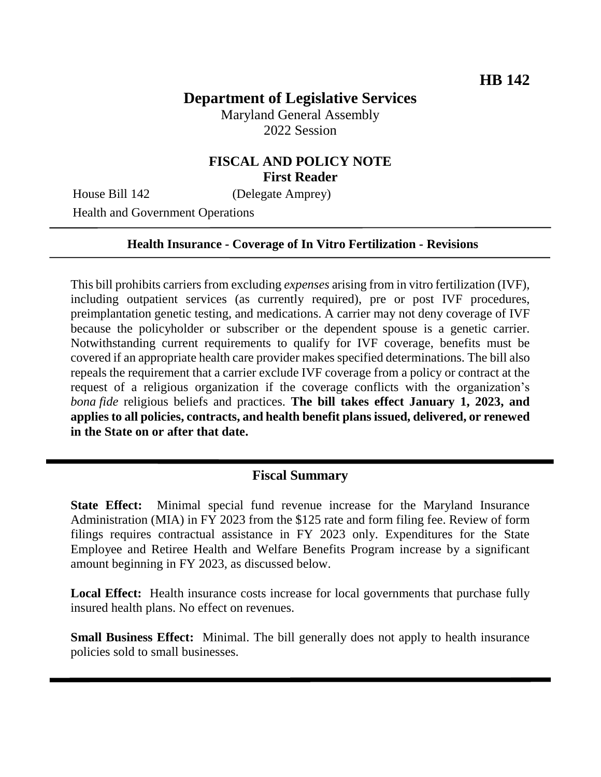# **Department of Legislative Services**

Maryland General Assembly 2022 Session

### **FISCAL AND POLICY NOTE First Reader**

House Bill 142 (Delegate Amprey)

Health and Government Operations

#### **Health Insurance - Coverage of In Vitro Fertilization - Revisions**

This bill prohibits carriers from excluding *expenses* arising from in vitro fertilization (IVF), including outpatient services (as currently required), pre or post IVF procedures, preimplantation genetic testing, and medications. A carrier may not deny coverage of IVF because the policyholder or subscriber or the dependent spouse is a genetic carrier. Notwithstanding current requirements to qualify for IVF coverage, benefits must be covered if an appropriate health care provider makes specified determinations. The bill also repeals the requirement that a carrier exclude IVF coverage from a policy or contract at the request of a religious organization if the coverage conflicts with the organization's *bona fide* religious beliefs and practices. **The bill takes effect January 1, 2023, and applies to all policies, contracts, and health benefit plans issued, delivered, or renewed in the State on or after that date.**

#### **Fiscal Summary**

**State Effect:** Minimal special fund revenue increase for the Maryland Insurance Administration (MIA) in FY 2023 from the \$125 rate and form filing fee. Review of form filings requires contractual assistance in FY 2023 only. Expenditures for the State Employee and Retiree Health and Welfare Benefits Program increase by a significant amount beginning in FY 2023, as discussed below.

**Local Effect:** Health insurance costs increase for local governments that purchase fully insured health plans. No effect on revenues.

**Small Business Effect:** Minimal. The bill generally does not apply to health insurance policies sold to small businesses.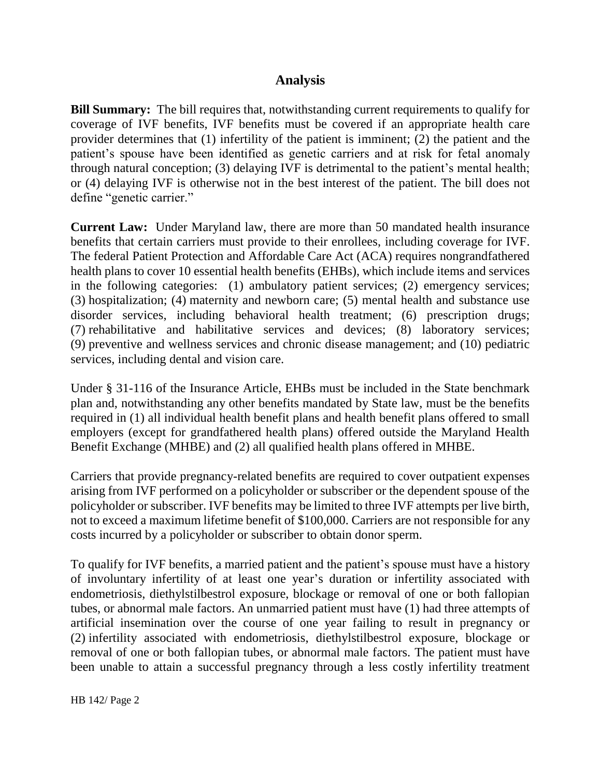### **Analysis**

**Bill Summary:** The bill requires that, notwithstanding current requirements to qualify for coverage of IVF benefits, IVF benefits must be covered if an appropriate health care provider determines that (1) infertility of the patient is imminent; (2) the patient and the patient's spouse have been identified as genetic carriers and at risk for fetal anomaly through natural conception; (3) delaying IVF is detrimental to the patient's mental health; or (4) delaying IVF is otherwise not in the best interest of the patient. The bill does not define "genetic carrier."

**Current Law:** Under Maryland law, there are more than 50 mandated health insurance benefits that certain carriers must provide to their enrollees, including coverage for IVF. The federal Patient Protection and Affordable Care Act (ACA) requires nongrandfathered health plans to cover 10 essential health benefits (EHBs), which include items and services in the following categories: (1) ambulatory patient services; (2) emergency services; (3) hospitalization; (4) maternity and newborn care; (5) mental health and substance use disorder services, including behavioral health treatment; (6) prescription drugs; (7) rehabilitative and habilitative services and devices; (8) laboratory services; (9) preventive and wellness services and chronic disease management; and (10) pediatric services, including dental and vision care.

Under § 31-116 of the Insurance Article, EHBs must be included in the State benchmark plan and, notwithstanding any other benefits mandated by State law, must be the benefits required in (1) all individual health benefit plans and health benefit plans offered to small employers (except for grandfathered health plans) offered outside the Maryland Health Benefit Exchange (MHBE) and (2) all qualified health plans offered in MHBE.

Carriers that provide pregnancy-related benefits are required to cover outpatient expenses arising from IVF performed on a policyholder or subscriber or the dependent spouse of the policyholder or subscriber. IVF benefits may be limited to three IVF attempts per live birth, not to exceed a maximum lifetime benefit of \$100,000. Carriers are not responsible for any costs incurred by a policyholder or subscriber to obtain donor sperm.

To qualify for IVF benefits, a married patient and the patient's spouse must have a history of involuntary infertility of at least one year's duration or infertility associated with endometriosis, diethylstilbestrol exposure, blockage or removal of one or both fallopian tubes, or abnormal male factors. An unmarried patient must have (1) had three attempts of artificial insemination over the course of one year failing to result in pregnancy or (2) infertility associated with endometriosis, diethylstilbestrol exposure, blockage or removal of one or both fallopian tubes, or abnormal male factors. The patient must have been unable to attain a successful pregnancy through a less costly infertility treatment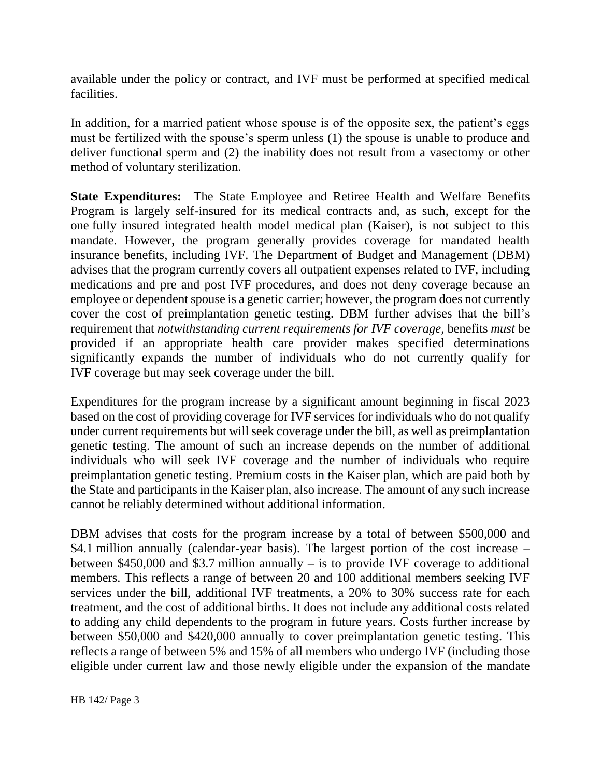available under the policy or contract, and IVF must be performed at specified medical facilities.

In addition, for a married patient whose spouse is of the opposite sex, the patient's eggs must be fertilized with the spouse's sperm unless (1) the spouse is unable to produce and deliver functional sperm and (2) the inability does not result from a vasectomy or other method of voluntary sterilization.

**State Expenditures:** The State Employee and Retiree Health and Welfare Benefits Program is largely self-insured for its medical contracts and, as such, except for the one fully insured integrated health model medical plan (Kaiser), is not subject to this mandate. However, the program generally provides coverage for mandated health insurance benefits, including IVF. The Department of Budget and Management (DBM) advises that the program currently covers all outpatient expenses related to IVF, including medications and pre and post IVF procedures, and does not deny coverage because an employee or dependent spouse is a genetic carrier; however, the program does not currently cover the cost of preimplantation genetic testing. DBM further advises that the bill's requirement that *notwithstanding current requirements for IVF coverage,* benefits *must* be provided if an appropriate health care provider makes specified determinations significantly expands the number of individuals who do not currently qualify for IVF coverage but may seek coverage under the bill.

Expenditures for the program increase by a significant amount beginning in fiscal 2023 based on the cost of providing coverage for IVF services for individuals who do not qualify under current requirements but will seek coverage under the bill, as well as preimplantation genetic testing. The amount of such an increase depends on the number of additional individuals who will seek IVF coverage and the number of individuals who require preimplantation genetic testing. Premium costs in the Kaiser plan, which are paid both by the State and participants in the Kaiser plan, also increase. The amount of any such increase cannot be reliably determined without additional information.

DBM advises that costs for the program increase by a total of between \$500,000 and \$4.1 million annually (calendar-year basis). The largest portion of the cost increase – between \$450,000 and \$3.7 million annually – is to provide IVF coverage to additional members. This reflects a range of between 20 and 100 additional members seeking IVF services under the bill, additional IVF treatments, a 20% to 30% success rate for each treatment, and the cost of additional births. It does not include any additional costs related to adding any child dependents to the program in future years. Costs further increase by between \$50,000 and \$420,000 annually to cover preimplantation genetic testing. This reflects a range of between 5% and 15% of all members who undergo IVF (including those eligible under current law and those newly eligible under the expansion of the mandate